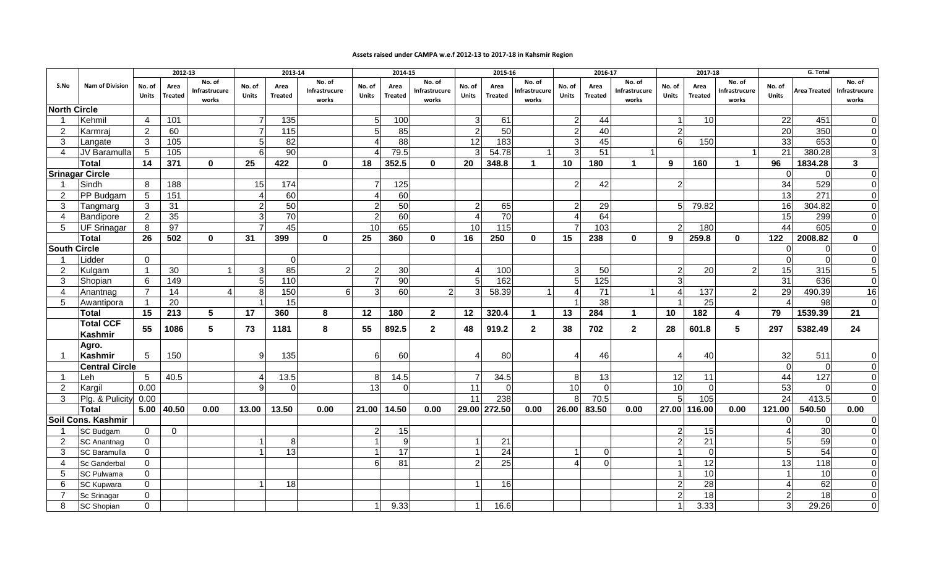## **Assets raised under CAMPA w.e.f 2012-13 to 2017-18 in Kahsmir Region**

|                         | <b>Nam of Division</b> | 2012-13        |                |                        | 2013-14        |                   |                        | 2014-15                  |                 |                        |                          | 2015-16           |                       | 2016-17                  |                |                         | 2017-18        |                |                        | G. Total                 |                     |                        |
|-------------------------|------------------------|----------------|----------------|------------------------|----------------|-------------------|------------------------|--------------------------|-----------------|------------------------|--------------------------|-------------------|-----------------------|--------------------------|----------------|-------------------------|----------------|----------------|------------------------|--------------------------|---------------------|------------------------|
| S.No                    |                        | No. of         | Area           | No. of                 | No. of         | Area              | No. of                 | No. of                   | Area            | No. of                 | No. of                   | Area              | No. of                | No. of                   | Area           | No. of                  | No. of         | Area           | No. of                 | No. of                   |                     | No. of                 |
|                         |                        | <b>Units</b>   | <b>Treated</b> | Infrastrucure<br>works | Units          | <b>Treated</b>    | Infrastrucure<br>works | <b>Units</b>             | <b>Treated</b>  | Infrastrucure<br>works | <b>Units</b>             | <b>Treated</b>    | nfrastrucure<br>works | <b>Units</b>             | <b>Treated</b> | Infrastrucure<br>works  | <b>Units</b>   | <b>Treated</b> | Infrastrucure<br>works | <b>Units</b>             | <b>Area Treated</b> | Infrastrucure<br>works |
| <b>North Circle</b>     |                        |                |                |                        |                |                   |                        |                          |                 |                        |                          |                   |                       |                          |                |                         |                |                |                        |                          |                     |                        |
| -1                      | Kehmil                 | $\overline{4}$ | 101            |                        | $\overline{7}$ | 135               |                        | .5                       | 100             |                        | 3                        | 61                |                       | 2                        | 44             |                         |                | 10             |                        | 22                       | 451                 | $\Omega$               |
| $\overline{2}$          | Karmraj                | $\overline{2}$ | 60             |                        | $\overline{7}$ | $\frac{115}{115}$ |                        | 5                        | 85              |                        | $\overline{2}$           | 50                |                       | $\overline{2}$           | 40             |                         | 2              |                |                        | 20                       | 350                 | $\Omega$               |
| 3                       | Langate                | 3              | 105            |                        | 5              | 82                |                        |                          | 88              |                        | 12                       | 183               |                       | 3                        | 45             |                         | $6 \mid$       | 150            |                        | 33                       | 653                 | $\overline{0}$         |
| 4                       | JV Baramulla           | 5              | 105            |                        | $6 \mid$       | 90                |                        |                          | 79.5            |                        | 3                        | 54.78             | -1                    | 3                        | 51             |                         |                |                | -1                     | 21                       | 380.28              | $\mathbf{3}$           |
|                         | Total                  | 14             | 371            | $\mathbf{0}$           | 25             | 422               | $\bf{0}$               | 18                       | 352.5           | $\mathbf{0}$           | 20                       | 348.8             | -1                    | 10                       | 180            | -1                      | 9              | 160            |                        | 96                       | 1834.28             | 3                      |
|                         | <b>Srinagar Circle</b> |                |                |                        |                |                   |                        |                          |                 |                        |                          |                   |                       |                          |                |                         |                |                |                        | $\Omega$                 | 0                   | $\Omega$               |
| $\overline{1}$          | Sindh                  | 8              | 188            |                        | 15             | 174               |                        |                          | 125             |                        |                          |                   |                       | $\overline{2}$           | 42             |                         | $\overline{2}$ |                |                        | 34                       | 529                 | $\overline{0}$         |
| $\overline{2}$          | <b>PP Budgam</b>       | 5              | 151            |                        | $\overline{4}$ | 60                |                        | $\boldsymbol{\varDelta}$ | 60              |                        |                          |                   |                       |                          |                |                         |                |                |                        | 13                       | 271                 | $\overline{0}$         |
| 3                       | Tangmarg               | 3              | 31             |                        | $\overline{2}$ | 50                |                        | $\overline{2}$           | 50              |                        | $\overline{2}$           | 65                |                       | 2                        | 29             |                         |                | 79.82          |                        | 16                       | 304.82              | $\overline{0}$         |
| 4                       | Bandipore              | $\overline{2}$ | 35             |                        | $\mathbf{3}$   | 70                |                        | 2                        | 60              |                        | $\boldsymbol{\varDelta}$ | 70                |                       | Δ                        | 64             |                         |                |                |                        | 15                       | 299                 | $\overline{0}$         |
| 5                       | UF Srinagar            | 8              | 97             |                        | $\overline{7}$ | 45                |                        | 10                       | 65              |                        | 10                       | $\frac{115}{115}$ |                       | 7                        | 103            |                         |                | 180            |                        | 44                       | 605                 | $\overline{0}$         |
|                         | <b>Total</b>           | 26             | 502            | $\mathbf{0}$           | 31             | 399               | $\Omega$               | 25                       | 360             | $\bf{0}$               | 16                       | 250               | $\mathbf{0}$          | 15                       | 238            | $\bf{0}$                | 9              | 259.8          | $\mathbf{0}$           | 122                      | 2008.82             | $\mathbf{0}$           |
| <b>South Circle</b>     |                        |                |                |                        |                |                   |                        |                          |                 |                        |                          |                   |                       |                          |                |                         |                |                |                        | 0                        | $\mathbf 0$         | $\overline{0}$         |
|                         | Lidder                 | 0              |                |                        |                | $\mathbf 0$       |                        |                          |                 |                        |                          |                   |                       |                          |                |                         |                |                |                        | $\Omega$                 | $\mathbf 0$         | $\overline{0}$         |
| 2                       | Kulgam                 | $\mathbf 1$    | 30             |                        | $\overline{3}$ | 85                | 2                      | 2                        | 30 <sup>l</sup> |                        | $\boldsymbol{\Delta}$    | 100               |                       | 3                        | 50             |                         | 2              | 20             | 2                      | 15                       | 315                 | $5\phantom{.0}$        |
| 3                       | Shopian                | 6              | 149            |                        | 5 <sup>1</sup> | $\frac{110}{110}$ |                        | $\overline{7}$           | 90              |                        | 5                        | 162               |                       | 5                        | 125            |                         | 3              |                |                        | 31                       | 636                 | $\Omega$               |
| 4                       | Anantnag               | $\overline{7}$ | 14             | 4                      | 8              | 150               | 6                      | 3                        | 60              | $\overline{2}$         | 3                        | 58.39             |                       | 4                        | 71             |                         |                | 137            | $\mathfrak{p}$         | 29                       | 490.39              | 16                     |
| 5                       | Awantipora             | $\mathbf{1}$   | 20             |                        |                | 15                |                        |                          |                 |                        |                          |                   |                       | $\overline{1}$           | 38             |                         |                | 25             |                        |                          | 98                  | $\Omega$               |
|                         | <b>Total</b>           | 15             | 213            | $5\overline{)}$        | 17             | 360               | 8                      | 12                       | 180             | $\mathbf{2}$           | 12                       | 320.4             | -1                    | 13                       | 284            | $\overline{\mathbf{1}}$ | 10             | 182            | 4                      | 79                       | 1539.39             | 21                     |
|                         | <b>Total CCF</b>       | 55             | 1086           | 5                      | 73             | 1181              | 8                      | 55                       | 892.5           | $\mathbf{2}$           | 48                       | 919.2             | $\mathbf{2}$          | 38                       | 702            | $\mathbf{2}$            | 28             | 601.8          | 5                      | 297                      | 5382.49             | 24                     |
|                         | <b>Kashmir</b>         |                |                |                        |                |                   |                        |                          |                 |                        |                          |                   |                       |                          |                |                         |                |                |                        |                          |                     |                        |
| -1                      | Agro.<br>Kashmir       | 5              | 150            |                        | 9              | 135               |                        | 6                        | 60              |                        | ⊿                        | 80                |                       | 4                        | 46             |                         |                | 40             |                        | 32                       | 511                 | $\overline{0}$         |
|                         | <b>Central Circle</b>  |                |                |                        |                |                   |                        |                          |                 |                        |                          |                   |                       |                          |                |                         |                |                |                        | $\mathbf 0$              | $\mathbf 0$         | $\overline{0}$         |
| $\overline{\mathbf{1}}$ | Leh                    | 5              | 40.5           |                        | $\overline{4}$ | 13.5              |                        | 8                        | 14.5            |                        | $\overline{7}$           | 34.5              |                       | 8                        | 13             |                         | 12             | 11             |                        | 44                       | 127                 | $\overline{0}$         |
| $\overline{2}$          | Kargil                 | 0.00           |                |                        | $\mathsf{Q}$   | $\Omega$          |                        | 13                       | $\Omega$        |                        | 11                       | $\Omega$          |                       | 10                       | $\Omega$       |                         | 10             | $\Omega$       |                        | 53                       | $\Omega$            | $\overline{0}$         |
| 3                       | Plg. & Pulicity 0.00   |                |                |                        |                |                   |                        |                          |                 |                        | 11                       | 238               |                       | 8                        | 70.5           |                         |                | 105            |                        | 24                       | 413.5               | $\overline{0}$         |
|                         | <b>Total</b>           | 5.00           | 40.50          | 0.00                   | 13.00          | 13.50             | 0.00                   | 21.00                    | 14.50           | 0.00                   |                          | 29.00 272.50      | 0.00                  | 26.00                    | 83.50          | 0.00                    |                | 27.00 116.00   | 0.00                   | 121.00                   | 540.50              | 0.00                   |
|                         | Soil Cons. Kashmir     |                |                |                        |                |                   |                        |                          |                 |                        |                          |                   |                       |                          |                |                         |                |                |                        |                          | $\mathbf 0$         | $\overline{0}$         |
|                         | <b>SC Budgam</b>       | $\overline{0}$ | $\mathbf 0$    |                        |                |                   |                        | $\overline{2}$           | 15              |                        |                          |                   |                       |                          |                |                         |                | 15             |                        | $\overline{4}$           | 30                  | $\overline{0}$         |
| 2                       | <b>SC Anantnag</b>     | $\Omega$       |                |                        |                | 8                 |                        |                          | 9               |                        |                          | 21                |                       |                          |                |                         |                | 21             |                        | 5                        | 59                  | $\overline{0}$         |
| 3                       | <b>SC Baramulla</b>    | $\Omega$       |                |                        |                | 13                |                        |                          | $\overline{17}$ |                        |                          | 24                |                       |                          | $\Omega$       |                         |                | $\Omega$       |                        | 5                        | 54                  | $\overline{0}$         |
| 4                       | <b>Sc Ganderbal</b>    | 0              |                |                        |                |                   |                        | 6                        | 81              |                        | $\overline{2}$           | 25                |                       | $\boldsymbol{\varDelta}$ | $\Omega$       |                         |                | 12             |                        | 13                       | 118                 | $\overline{0}$         |
| 5                       | <b>SC Pulwama</b>      | $\mathbf 0$    |                |                        |                |                   |                        |                          |                 |                        |                          |                   |                       |                          |                |                         |                | 10             |                        | $\overline{1}$           | 10                  | $\overline{0}$         |
| 6                       | <b>SC Kupwara</b>      | $\Omega$       |                |                        |                | 18                |                        |                          |                 |                        |                          | 16                |                       |                          |                |                         | $\mathcal{P}$  | 28             |                        | $\boldsymbol{\varDelta}$ | 62                  | $\overline{0}$         |
| $\overline{7}$          | Sc Srinagar            | $\Omega$       |                |                        |                |                   |                        |                          |                 |                        |                          |                   |                       |                          |                |                         |                | 18             |                        | $\overline{2}$           | 18                  | $\overline{0}$         |
| 8                       | <b>SC Shopian</b>      | $\mathbf 0$    |                |                        |                |                   |                        |                          | 9.33            |                        |                          | 16.6              |                       |                          |                |                         |                | 3.33           |                        | 3                        | 29.26               | $\Omega$               |